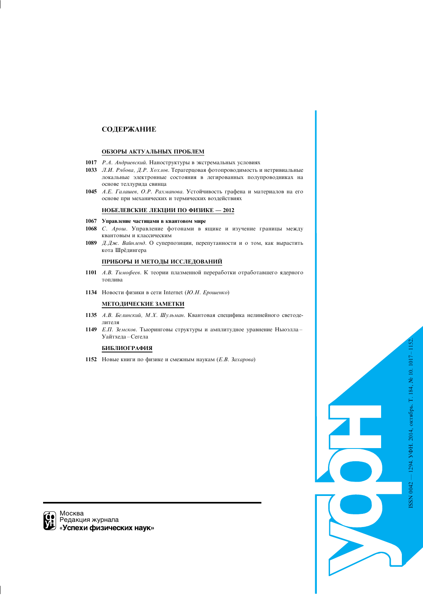### СОДЕРЖАНИЕ

### ОБЗОРЫ АКТУАЛЬНЫХ ПРОБЛЕМ

- 1017 Р.А. Андриевский. Наноструктуры в экстремальных условиях
- 1033 Л.И. Рябова, Д.Р. Хохлов. Терагерцовая фотопроводимость и нетривиальные локальные электронные состояния в легированных полупроводниках на основе теллурида свинца
- 1045 *A.E. Галашев, O.P. Рахманова.* Устойчивость графена и материалов на его основе при механических и термических воздействиях

### НОБЕЛЕВСКИЕ ЛЕКЦИИ ПО ФИЗИКЕ - 2012

- 1067 Управление частицами в квантовом мире
- 1068 С. Арош. Управление фотонами в ящике и изучение границы между квантовым и классическим
- 1089 Д.Дж. Вайнленд. О суперпозиции, перепутанности и о том, как вырастить кота Шрёдингера

### ПРИБОРЫ И МЕТОДЫ ИССЛЕДОВАНИЙ

- 1101 А.В. Тимофеев. К теории плазменной переработки отработавшего ядерного топлива
- 1134 Новости физики в сети Internet (Ю.Н. Ерошенко)

### МЕТОДИЧЕСКИЕ ЗАМЕТКИ

- 1135 А.В. Белинский, М.Х. Шульман. Квантовая специфика нелинейного светоделителя
- 1149 Е.П. Земсков. Тьюринговы структуры и амплитудное уравнение Ньюэлла-Уайтхеда - Сегела

### **БИБЛИОГРАФИЯ**

1152 Новые книги по физике и смежным наукам (*Е.В. Захарова*)

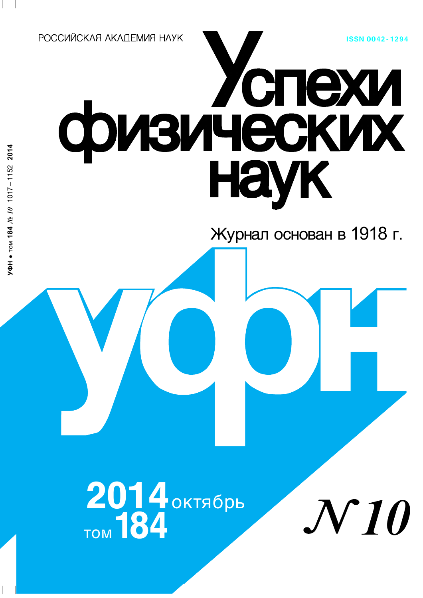**ISSN 0042-1294** 

РОССИЙСКАЯ АКАПЕМИЯ НАУК

# физических

Журнал основан в 1918 г.

2014 октябрь<br>TOM 184

**VIO**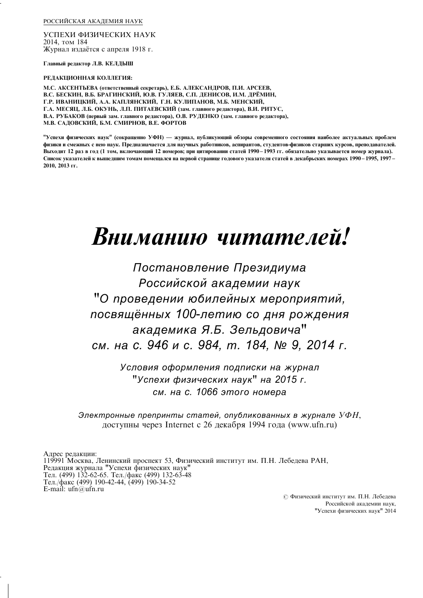### РОССИЙСКАЯ АКАДЕМИЯ НАУК

УСПЕХИ ФИЗИЧЕСКИХ НАУК 2014, том 184 Журнал издаётся с апреля 1918 г.

Главный редактор Л.В. КЕЛДЫШ

### РЕДАКЦИОННАЯ КОЛЛЕГИЯ:

М.С. АКСЕНТЬЕВА (ответственный секретарь), Е.Б. АЛЕКСАНДРОВ, П.И. АРСЕЕВ, В.С. БЕСКИН, В.Б. БРАГИНСКИЙ, Ю.В. ГУЛЯЕВ, С.П. ДЕНИСОВ, И.М. ДРЁМИН, Г.Р. ИВАНИЦКИЙ, А.А. КАПЛЯНСКИЙ, Г.Н. КУЛИПАНОВ, М.Б. МЕНСКИЙ, Г.А. МЕСЯЦ, Л.Б. ОКУНЬ, Л.П. ПИТАЕВСКИЙ (зам. главного редактора), В.И. РИТУС, В.А. РУБАКОВ (первый зам. главного редактора), О.В. РУДЕНКО (зам. главного редактора), М.В. САДОВСКИЙ, Б.М. СМИРНОВ, В.Е. ФОРТОВ

"Успехи физических наук" (сокращенно УФН) — журнал, публикующий обзоры современного состояния наиболее актуальных проблем физики и смежных с нею наук. Предназначается для научных работников, аспирантов, студентов-физиков старших курсов, преподавателей. Выходит 12 раз в год (1 том, включающий 12 номеров; при цитировании статей 1990 – 1993 гг. обязательно указывается номер журнала). Список указателей к вышедшим томам помещался на первой странице годового указателя статей в декабрьских номерах 1990-1995, 1997-2010, 2013 гг.

# Вниманию читателей!

Постановление Президиума Российской академии наук "О проведении юбилейных мероприятий, посвящённых 100-летию со дня рождения академика Я.Б. Зельдовича" См. на С. 946 и с. 984, т. 184, № 9, 2014 г.

> Условия оформления подписки на журнал "Успехи физических наук" на 2015 г. см. на с. 1066 этого номера

Электронные препринты статей, опубликованных в журнале  $V\Phi H$ , доступны через Internet с 26 декабря 1994 года (www.ufn.ru)

Адрес редакции: 119991 Москва, Ленинский проспект 53, Физический институт им. П.Н. Лебедева РАН, Редакция журнала "Успехи физических наук" Тел. (499) 132-62-65. Тел./факс (499) 132-63-48 Тел./факс (499) 190-42-44, (499) 190-34-52 E-mail: ufn@ufn.ru

© Физический институт им. П.Н. Лебелева Российской академии наук, "Успехи физических наук" 2014